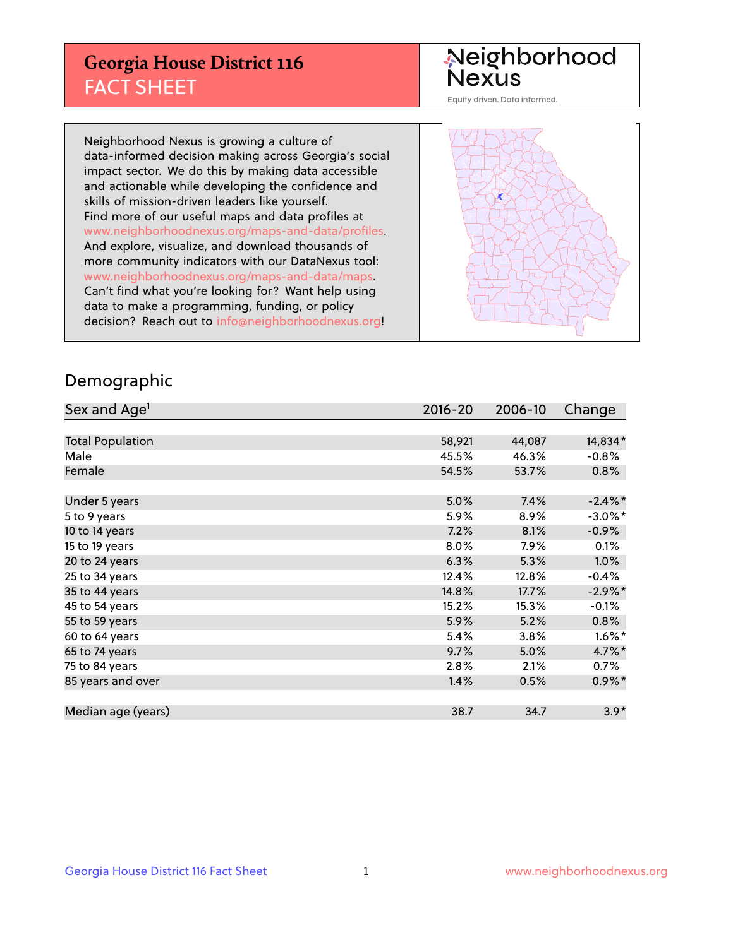## **Georgia House District 116** FACT SHEET

# Neighborhood<br>Nexus

Equity driven. Data informed.

Neighborhood Nexus is growing a culture of data-informed decision making across Georgia's social impact sector. We do this by making data accessible and actionable while developing the confidence and skills of mission-driven leaders like yourself. Find more of our useful maps and data profiles at www.neighborhoodnexus.org/maps-and-data/profiles. And explore, visualize, and download thousands of more community indicators with our DataNexus tool: www.neighborhoodnexus.org/maps-and-data/maps. Can't find what you're looking for? Want help using data to make a programming, funding, or policy decision? Reach out to [info@neighborhoodnexus.org!](mailto:info@neighborhoodnexus.org)



#### Demographic

| Sex and Age <sup>1</sup> | $2016 - 20$ | 2006-10 | Change     |
|--------------------------|-------------|---------|------------|
|                          |             |         |            |
| <b>Total Population</b>  | 58,921      | 44,087  | 14,834*    |
| Male                     | 45.5%       | 46.3%   | $-0.8%$    |
| Female                   | 54.5%       | 53.7%   | $0.8\%$    |
|                          |             |         |            |
| Under 5 years            | 5.0%        | 7.4%    | $-2.4\%$ * |
| 5 to 9 years             | 5.9%        | 8.9%    | $-3.0\%$ * |
| 10 to 14 years           | 7.2%        | 8.1%    | $-0.9%$    |
| 15 to 19 years           | 8.0%        | 7.9%    | 0.1%       |
| 20 to 24 years           | 6.3%        | 5.3%    | 1.0%       |
| 25 to 34 years           | 12.4%       | 12.8%   | $-0.4%$    |
| 35 to 44 years           | 14.8%       | 17.7%   | $-2.9\%$ * |
| 45 to 54 years           | 15.2%       | 15.3%   | $-0.1%$    |
| 55 to 59 years           | 5.9%        | 5.2%    | 0.8%       |
| 60 to 64 years           | 5.4%        | 3.8%    | $1.6\%$ *  |
| 65 to 74 years           | 9.7%        | 5.0%    | 4.7%*      |
| 75 to 84 years           | 2.8%        | 2.1%    | $0.7\%$    |
| 85 years and over        | 1.4%        | 0.5%    | $0.9\%$ *  |
|                          |             |         |            |
| Median age (years)       | 38.7        | 34.7    | $3.9*$     |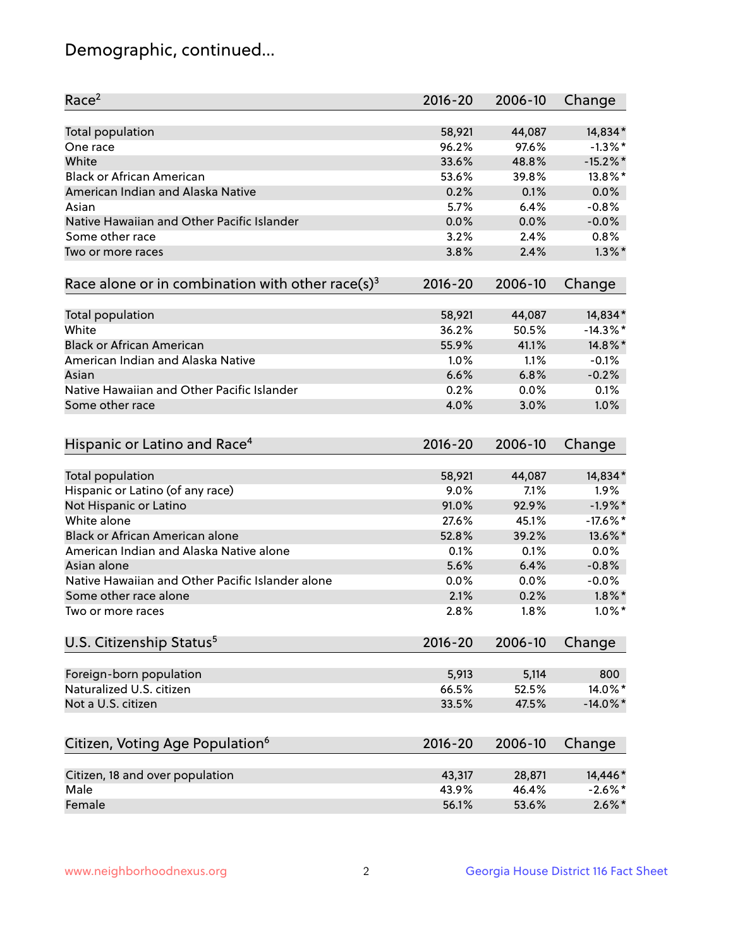## Demographic, continued...

| Race <sup>2</sup>                                            | $2016 - 20$ | 2006-10 | Change      |
|--------------------------------------------------------------|-------------|---------|-------------|
| <b>Total population</b>                                      | 58,921      | 44,087  | 14,834*     |
| One race                                                     | 96.2%       | 97.6%   | $-1.3\%$ *  |
| White                                                        | 33.6%       | 48.8%   | $-15.2\%$ * |
| <b>Black or African American</b>                             | 53.6%       | 39.8%   | 13.8%*      |
| American Indian and Alaska Native                            | 0.2%        | 0.1%    | 0.0%        |
| Asian                                                        | 5.7%        | 6.4%    | $-0.8%$     |
| Native Hawaiian and Other Pacific Islander                   | 0.0%        | 0.0%    | $-0.0%$     |
| Some other race                                              | 3.2%        | 2.4%    | 0.8%        |
| Two or more races                                            | 3.8%        | 2.4%    | $1.3\%$ *   |
| Race alone or in combination with other race(s) <sup>3</sup> | $2016 - 20$ | 2006-10 | Change      |
| Total population                                             | 58,921      | 44,087  | 14,834*     |
| White                                                        | 36.2%       | 50.5%   | $-14.3\%$ * |
| <b>Black or African American</b>                             | 55.9%       | 41.1%   | 14.8%*      |
| American Indian and Alaska Native                            | 1.0%        | 1.1%    | $-0.1%$     |
| Asian                                                        | 6.6%        | 6.8%    | $-0.2%$     |
| Native Hawaiian and Other Pacific Islander                   | 0.2%        |         |             |
|                                                              |             | 0.0%    | 0.1%        |
| Some other race                                              | 4.0%        | 3.0%    | 1.0%        |
| Hispanic or Latino and Race <sup>4</sup>                     | $2016 - 20$ | 2006-10 | Change      |
| <b>Total population</b>                                      | 58,921      | 44,087  | 14,834*     |
| Hispanic or Latino (of any race)                             | 9.0%        | 7.1%    | 1.9%        |
| Not Hispanic or Latino                                       | 91.0%       | 92.9%   | $-1.9%$ *   |
| White alone                                                  | 27.6%       | 45.1%   | $-17.6%$ *  |
| <b>Black or African American alone</b>                       | 52.8%       | 39.2%   | 13.6%*      |
| American Indian and Alaska Native alone                      | 0.1%        | 0.1%    | 0.0%        |
| Asian alone                                                  | 5.6%        | 6.4%    | $-0.8%$     |
| Native Hawaiian and Other Pacific Islander alone             | 0.0%        | 0.0%    | $-0.0%$     |
| Some other race alone                                        | 2.1%        | 0.2%    | $1.8\%$ *   |
| Two or more races                                            | 2.8%        | 1.8%    | $1.0\%$ *   |
| U.S. Citizenship Status <sup>5</sup>                         | $2016 - 20$ | 2006-10 | Change      |
|                                                              |             |         |             |
| Foreign-born population                                      | 5,913       | 5,114   | 800         |
| Naturalized U.S. citizen                                     | 66.5%       | 52.5%   | 14.0%*      |
| Not a U.S. citizen                                           | 33.5%       | 47.5%   | $-14.0\%$ * |
| Citizen, Voting Age Population <sup>6</sup>                  | $2016 - 20$ | 2006-10 | Change      |
| Citizen, 18 and over population                              | 43,317      | 28,871  | 14,446*     |
| Male                                                         | 43.9%       | 46.4%   | $-2.6\%$ *  |
| Female                                                       | 56.1%       | 53.6%   | $2.6\%$ *   |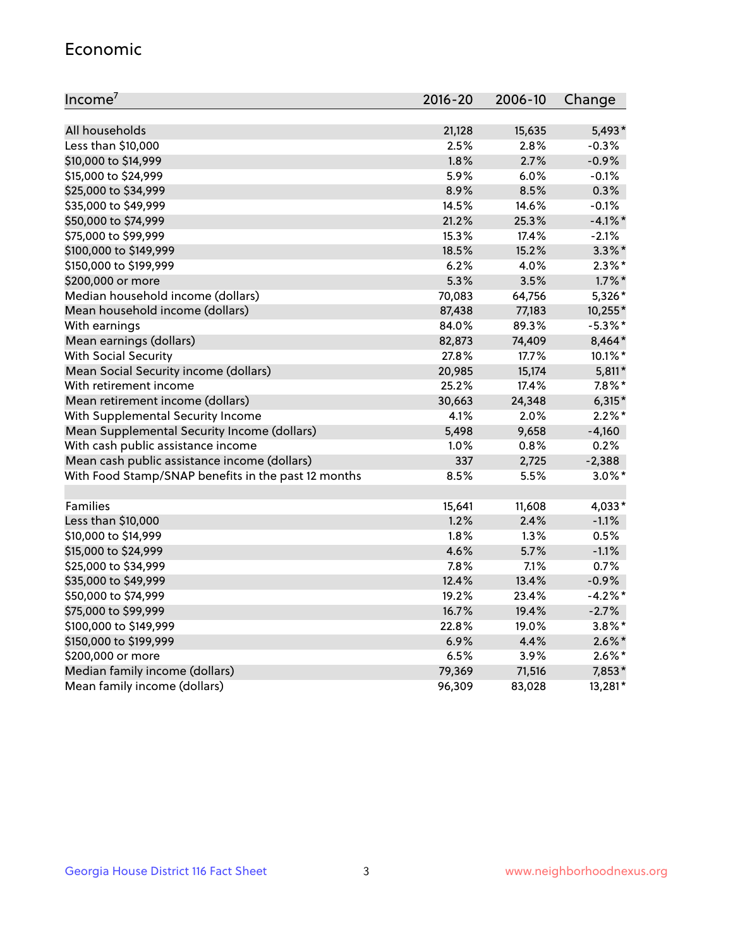#### Economic

| Income <sup>7</sup>                                 | $2016 - 20$ | 2006-10 | Change     |
|-----------------------------------------------------|-------------|---------|------------|
|                                                     |             |         |            |
| All households                                      | 21,128      | 15,635  | 5,493*     |
| Less than \$10,000                                  | 2.5%        | 2.8%    | $-0.3%$    |
| \$10,000 to \$14,999                                | 1.8%        | 2.7%    | $-0.9%$    |
| \$15,000 to \$24,999                                | 5.9%        | 6.0%    | $-0.1%$    |
| \$25,000 to \$34,999                                | 8.9%        | 8.5%    | 0.3%       |
| \$35,000 to \$49,999                                | 14.5%       | 14.6%   | $-0.1%$    |
| \$50,000 to \$74,999                                | 21.2%       | 25.3%   | $-4.1\%$ * |
| \$75,000 to \$99,999                                | 15.3%       | 17.4%   | $-2.1%$    |
| \$100,000 to \$149,999                              | 18.5%       | 15.2%   | $3.3\%$ *  |
| \$150,000 to \$199,999                              | 6.2%        | 4.0%    | $2.3\%$ *  |
| \$200,000 or more                                   | 5.3%        | 3.5%    | $1.7\%$ *  |
| Median household income (dollars)                   | 70,083      | 64,756  | 5,326*     |
| Mean household income (dollars)                     | 87,438      | 77,183  | 10,255*    |
| With earnings                                       | 84.0%       | 89.3%   | $-5.3\%$ * |
| Mean earnings (dollars)                             | 82,873      | 74,409  | 8,464*     |
| <b>With Social Security</b>                         | 27.8%       | 17.7%   | $10.1\%$ * |
| Mean Social Security income (dollars)               | 20,985      | 15,174  | $5,811*$   |
| With retirement income                              | 25.2%       | 17.4%   | $7.8\%$ *  |
| Mean retirement income (dollars)                    | 30,663      | 24,348  | $6,315*$   |
| With Supplemental Security Income                   | 4.1%        | 2.0%    | $2.2\%$ *  |
| Mean Supplemental Security Income (dollars)         | 5,498       | 9,658   | $-4,160$   |
| With cash public assistance income                  | 1.0%        | 0.8%    | 0.2%       |
| Mean cash public assistance income (dollars)        | 337         | 2,725   | $-2,388$   |
| With Food Stamp/SNAP benefits in the past 12 months | 8.5%        | 5.5%    | $3.0\%$ *  |
|                                                     |             |         |            |
| Families                                            | 15,641      | 11,608  | 4,033*     |
| Less than \$10,000                                  | 1.2%        | 2.4%    | $-1.1%$    |
| \$10,000 to \$14,999                                | 1.8%        | 1.3%    | 0.5%       |
| \$15,000 to \$24,999                                | 4.6%        | 5.7%    | $-1.1%$    |
| \$25,000 to \$34,999                                | 7.8%        | 7.1%    | 0.7%       |
| \$35,000 to \$49,999                                | 12.4%       | 13.4%   | $-0.9%$    |
| \$50,000 to \$74,999                                | 19.2%       | 23.4%   | $-4.2%$ *  |
| \$75,000 to \$99,999                                | 16.7%       | 19.4%   | $-2.7%$    |
| \$100,000 to \$149,999                              | 22.8%       | 19.0%   | $3.8\%$ *  |
| \$150,000 to \$199,999                              | 6.9%        | 4.4%    | $2.6\%$ *  |
| \$200,000 or more                                   | 6.5%        | 3.9%    | $2.6\%$ *  |
| Median family income (dollars)                      | 79,369      | 71,516  | 7,853*     |
| Mean family income (dollars)                        | 96,309      | 83,028  | 13,281*    |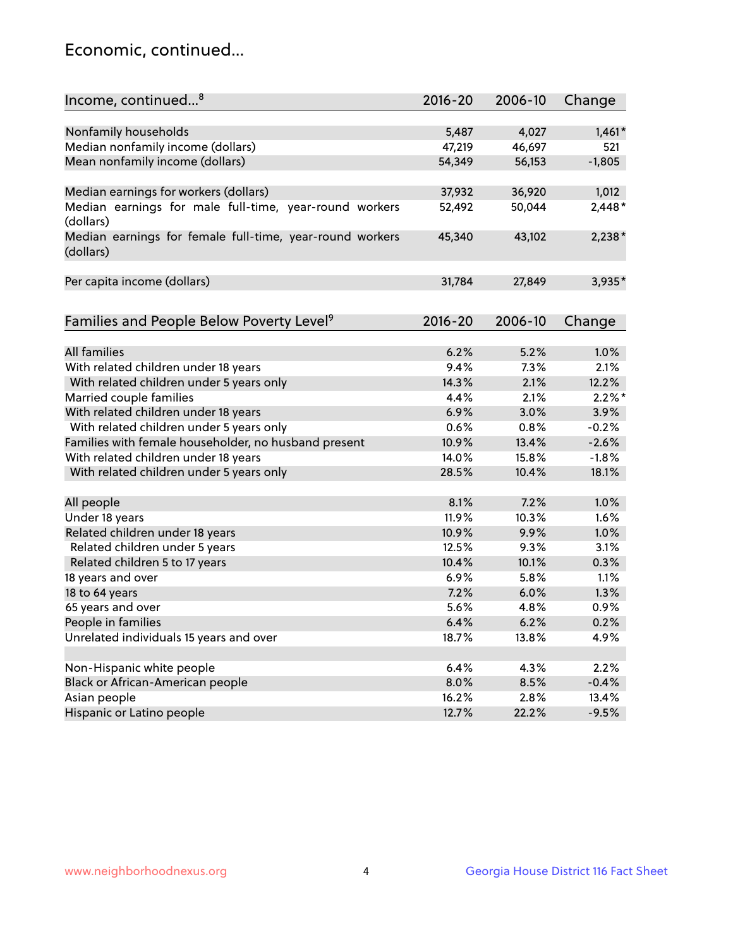## Economic, continued...

| Income, continued <sup>8</sup>                           | $2016 - 20$ | 2006-10 | Change    |
|----------------------------------------------------------|-------------|---------|-----------|
|                                                          |             |         |           |
| Nonfamily households                                     | 5,487       | 4,027   | $1,461*$  |
| Median nonfamily income (dollars)                        | 47,219      | 46,697  | 521       |
| Mean nonfamily income (dollars)                          | 54,349      | 56,153  | $-1,805$  |
|                                                          |             |         |           |
| Median earnings for workers (dollars)                    | 37,932      | 36,920  | 1,012     |
| Median earnings for male full-time, year-round workers   | 52,492      | 50,044  | $2,448*$  |
| (dollars)                                                |             |         |           |
| Median earnings for female full-time, year-round workers | 45,340      | 43,102  | $2,238*$  |
| (dollars)                                                |             |         |           |
|                                                          |             |         |           |
| Per capita income (dollars)                              | 31,784      | 27,849  | 3,935*    |
|                                                          |             |         |           |
|                                                          | 2016-20     | 2006-10 |           |
| Families and People Below Poverty Level <sup>9</sup>     |             |         | Change    |
| <b>All families</b>                                      |             |         |           |
|                                                          | 6.2%        | 5.2%    | 1.0%      |
| With related children under 18 years                     | 9.4%        | 7.3%    | 2.1%      |
| With related children under 5 years only                 | 14.3%       | 2.1%    | 12.2%     |
| Married couple families                                  | 4.4%        | 2.1%    | $2.2\%$ * |
| With related children under 18 years                     | 6.9%        | 3.0%    | 3.9%      |
| With related children under 5 years only                 | 0.6%        | 0.8%    | $-0.2%$   |
| Families with female householder, no husband present     | 10.9%       | 13.4%   | $-2.6%$   |
| With related children under 18 years                     | 14.0%       | 15.8%   | $-1.8%$   |
| With related children under 5 years only                 | 28.5%       | 10.4%   | 18.1%     |
|                                                          |             |         |           |
| All people                                               | 8.1%        | 7.2%    | 1.0%      |
| Under 18 years                                           | 11.9%       | 10.3%   | 1.6%      |
| Related children under 18 years                          | 10.9%       | 9.9%    | 1.0%      |
| Related children under 5 years                           | 12.5%       | 9.3%    | 3.1%      |
| Related children 5 to 17 years                           | 10.4%       | 10.1%   | 0.3%      |
| 18 years and over                                        | 6.9%        | 5.8%    | 1.1%      |
| 18 to 64 years                                           | 7.2%        | 6.0%    | 1.3%      |
| 65 years and over                                        | 5.6%        | 4.8%    | 0.9%      |
| People in families                                       | 6.4%        | 6.2%    | 0.2%      |
| Unrelated individuals 15 years and over                  | 18.7%       | 13.8%   | 4.9%      |
|                                                          |             |         |           |
| Non-Hispanic white people                                | 6.4%        | 4.3%    | 2.2%      |
| Black or African-American people                         | 8.0%        | 8.5%    | $-0.4%$   |
| Asian people                                             | 16.2%       | 2.8%    | 13.4%     |
| Hispanic or Latino people                                | 12.7%       | 22.2%   | $-9.5%$   |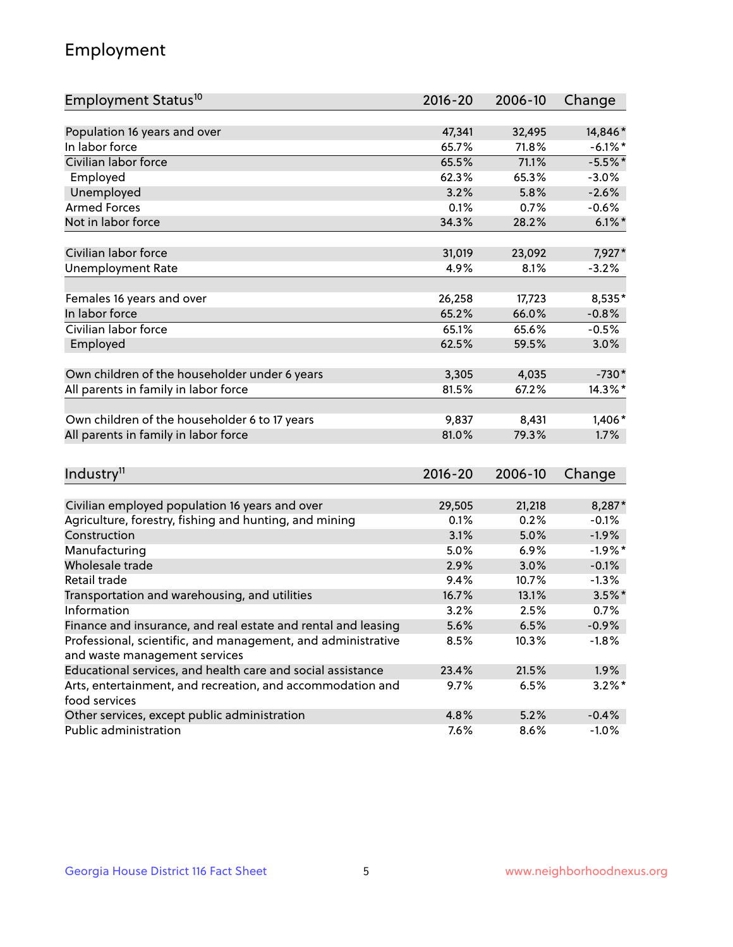## Employment

| Employment Status <sup>10</sup>                                             | $2016 - 20$    | 2006-10 | Change     |
|-----------------------------------------------------------------------------|----------------|---------|------------|
|                                                                             |                |         |            |
| Population 16 years and over                                                | 47,341         | 32,495  | 14,846*    |
| In labor force                                                              | 65.7%          | 71.8%   | $-6.1\%$ * |
| Civilian labor force                                                        | 65.5%          | 71.1%   | $-5.5%$ *  |
| Employed                                                                    | 62.3%          | 65.3%   | $-3.0%$    |
| Unemployed                                                                  | 3.2%           | 5.8%    | $-2.6%$    |
| <b>Armed Forces</b>                                                         | 0.1%           | 0.7%    | $-0.6%$    |
| Not in labor force                                                          | 34.3%          | 28.2%   | $6.1\%$ *  |
| Civilian labor force                                                        |                | 23,092  | 7,927*     |
|                                                                             | 31,019<br>4.9% |         |            |
| <b>Unemployment Rate</b>                                                    |                | 8.1%    | $-3.2%$    |
| Females 16 years and over                                                   | 26,258         | 17,723  | 8,535*     |
| In labor force                                                              | 65.2%          | 66.0%   | $-0.8%$    |
| Civilian labor force                                                        | 65.1%          | 65.6%   | $-0.5%$    |
| Employed                                                                    | 62.5%          | 59.5%   | 3.0%       |
|                                                                             |                |         |            |
| Own children of the householder under 6 years                               | 3,305          | 4,035   | $-730*$    |
| All parents in family in labor force                                        | 81.5%          | 67.2%   | 14.3%*     |
| Own children of the householder 6 to 17 years                               | 9,837          | 8,431   | 1,406*     |
| All parents in family in labor force                                        | 81.0%          | 79.3%   | 1.7%       |
|                                                                             |                |         |            |
| Industry <sup>11</sup>                                                      | $2016 - 20$    | 2006-10 | Change     |
|                                                                             |                |         |            |
| Civilian employed population 16 years and over                              | 29,505         | 21,218  | 8,287*     |
| Agriculture, forestry, fishing and hunting, and mining                      | 0.1%           | 0.2%    | $-0.1%$    |
| Construction                                                                | 3.1%           | 5.0%    | $-1.9%$    |
| Manufacturing                                                               | 5.0%           | 6.9%    | $-1.9%$ *  |
| Wholesale trade                                                             | 2.9%           | 3.0%    | $-0.1%$    |
| Retail trade                                                                | 9.4%           | 10.7%   | $-1.3%$    |
| Transportation and warehousing, and utilities                               | 16.7%          | 13.1%   | $3.5\%$ *  |
| Information                                                                 | 3.2%           | 2.5%    | 0.7%       |
| Finance and insurance, and real estate and rental and leasing               | 5.6%           | 6.5%    | $-0.9%$    |
| Professional, scientific, and management, and administrative                | 8.5%           | 10.3%   | $-1.8%$    |
| and waste management services                                               |                |         |            |
| Educational services, and health care and social assistance                 | 23.4%          | 21.5%   | 1.9%       |
| Arts, entertainment, and recreation, and accommodation and<br>food services | 9.7%           | 6.5%    | $3.2\%$ *  |
| Other services, except public administration                                | 4.8%           | 5.2%    | $-0.4%$    |
| Public administration                                                       | 7.6%           | 8.6%    | $-1.0%$    |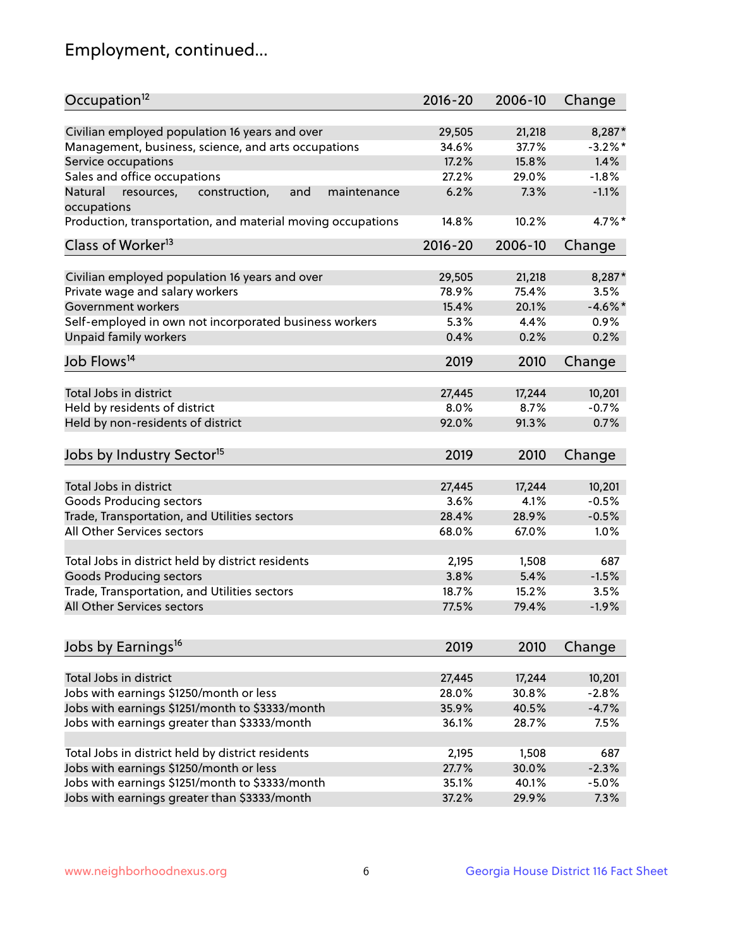## Employment, continued...

| Occupation <sup>12</sup>                                     | $2016 - 20$ | 2006-10 | Change     |
|--------------------------------------------------------------|-------------|---------|------------|
| Civilian employed population 16 years and over               | 29,505      | 21,218  | 8,287*     |
| Management, business, science, and arts occupations          | 34.6%       | 37.7%   | $-3.2\%$ * |
| Service occupations                                          | 17.2%       | 15.8%   | 1.4%       |
| Sales and office occupations                                 | 27.2%       | 29.0%   | $-1.8%$    |
| resources,<br>and<br>Natural<br>construction,<br>maintenance | 6.2%        | 7.3%    | $-1.1%$    |
| occupations                                                  |             |         |            |
| Production, transportation, and material moving occupations  | 14.8%       | 10.2%   | 4.7%*      |
| Class of Worker <sup>13</sup>                                | 2016-20     | 2006-10 | Change     |
|                                                              |             |         |            |
| Civilian employed population 16 years and over               | 29,505      | 21,218  | 8,287*     |
| Private wage and salary workers                              | 78.9%       | 75.4%   | 3.5%       |
| Government workers                                           | 15.4%       | 20.1%   | $-4.6\%$ * |
| Self-employed in own not incorporated business workers       | 5.3%        | 4.4%    | 0.9%       |
| Unpaid family workers                                        | 0.4%        | 0.2%    | 0.2%       |
| Job Flows <sup>14</sup>                                      | 2019        | 2010    | Change     |
|                                                              |             |         |            |
| Total Jobs in district                                       | 27,445      | 17,244  | 10,201     |
| Held by residents of district                                | 8.0%        | 8.7%    | $-0.7%$    |
| Held by non-residents of district                            | 92.0%       | 91.3%   | 0.7%       |
| Jobs by Industry Sector <sup>15</sup>                        | 2019        | 2010    | Change     |
| Total Jobs in district                                       | 27,445      | 17,244  | 10,201     |
|                                                              |             |         |            |
| Goods Producing sectors                                      | 3.6%        | 4.1%    | $-0.5%$    |
| Trade, Transportation, and Utilities sectors                 | 28.4%       | 28.9%   | $-0.5%$    |
| All Other Services sectors                                   | 68.0%       | 67.0%   | 1.0%       |
| Total Jobs in district held by district residents            | 2,195       | 1,508   | 687        |
| <b>Goods Producing sectors</b>                               | 3.8%        | 5.4%    | $-1.5%$    |
| Trade, Transportation, and Utilities sectors                 | 18.7%       | 15.2%   | 3.5%       |
| All Other Services sectors                                   | 77.5%       | 79.4%   | $-1.9%$    |
|                                                              |             |         |            |
| Jobs by Earnings <sup>16</sup>                               | 2019        | 2010    | Change     |
| Total Jobs in district                                       |             |         |            |
|                                                              | 27,445      | 17,244  | 10,201     |
| Jobs with earnings \$1250/month or less                      | 28.0%       | 30.8%   | $-2.8%$    |
| Jobs with earnings \$1251/month to \$3333/month              | 35.9%       | 40.5%   | $-4.7%$    |
| Jobs with earnings greater than \$3333/month                 | 36.1%       | 28.7%   | 7.5%       |
| Total Jobs in district held by district residents            | 2,195       | 1,508   | 687        |
| Jobs with earnings \$1250/month or less                      | 27.7%       | 30.0%   | $-2.3%$    |
| Jobs with earnings \$1251/month to \$3333/month              | 35.1%       | 40.1%   | $-5.0%$    |
| Jobs with earnings greater than \$3333/month                 | 37.2%       | 29.9%   | 7.3%       |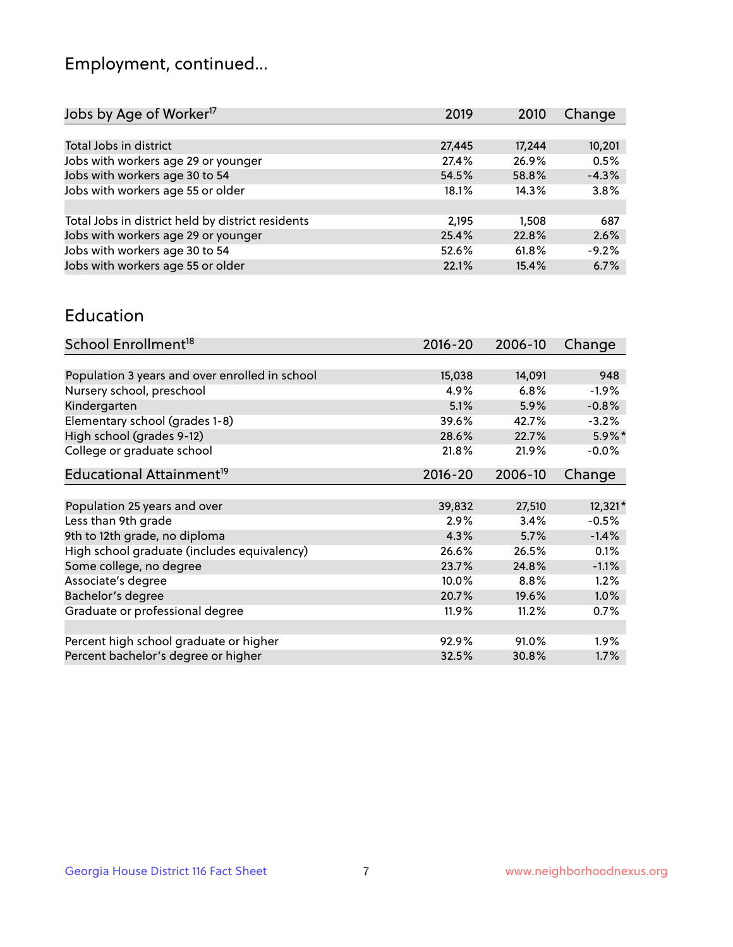## Employment, continued...

| Jobs by Age of Worker <sup>17</sup>               | 2019   | 2010   | Change  |
|---------------------------------------------------|--------|--------|---------|
|                                                   |        |        |         |
| Total Jobs in district                            | 27,445 | 17,244 | 10,201  |
| Jobs with workers age 29 or younger               | 27.4%  | 26.9%  | 0.5%    |
| Jobs with workers age 30 to 54                    | 54.5%  | 58.8%  | $-4.3%$ |
| Jobs with workers age 55 or older                 | 18.1%  | 14.3%  | 3.8%    |
|                                                   |        |        |         |
| Total Jobs in district held by district residents | 2,195  | 1,508  | 687     |
| Jobs with workers age 29 or younger               | 25.4%  | 22.8%  | 2.6%    |
| Jobs with workers age 30 to 54                    | 52.6%  | 61.8%  | $-9.2%$ |
| Jobs with workers age 55 or older                 | 22.1%  | 15.4%  | 6.7%    |

#### Education

| School Enrollment <sup>18</sup>                | $2016 - 20$ | 2006-10 | Change    |
|------------------------------------------------|-------------|---------|-----------|
|                                                |             |         |           |
| Population 3 years and over enrolled in school | 15,038      | 14,091  | 948       |
| Nursery school, preschool                      | 4.9%        | 6.8%    | $-1.9\%$  |
| Kindergarten                                   | 5.1%        | 5.9%    | $-0.8%$   |
| Elementary school (grades 1-8)                 | 39.6%       | 42.7%   | $-3.2%$   |
| High school (grades 9-12)                      | 28.6%       | 22.7%   | $5.9\%$ * |
| College or graduate school                     | 21.8%       | 21.9%   | $-0.0%$   |
| Educational Attainment <sup>19</sup>           | $2016 - 20$ | 2006-10 | Change    |
|                                                |             |         |           |
| Population 25 years and over                   | 39,832      | 27,510  | 12,321*   |
| Less than 9th grade                            | 2.9%        | 3.4%    | $-0.5%$   |
| 9th to 12th grade, no diploma                  | 4.3%        | 5.7%    | $-1.4%$   |
| High school graduate (includes equivalency)    | 26.6%       | 26.5%   | 0.1%      |
| Some college, no degree                        | 23.7%       | 24.8%   | $-1.1%$   |
| Associate's degree                             | 10.0%       | 8.8%    | 1.2%      |
| Bachelor's degree                              | 20.7%       | 19.6%   | 1.0%      |
| Graduate or professional degree                | 11.9%       | 11.2%   | 0.7%      |
|                                                |             |         |           |
| Percent high school graduate or higher         | 92.9%       | 91.0%   | $1.9\%$   |
| Percent bachelor's degree or higher            | 32.5%       | 30.8%   | 1.7%      |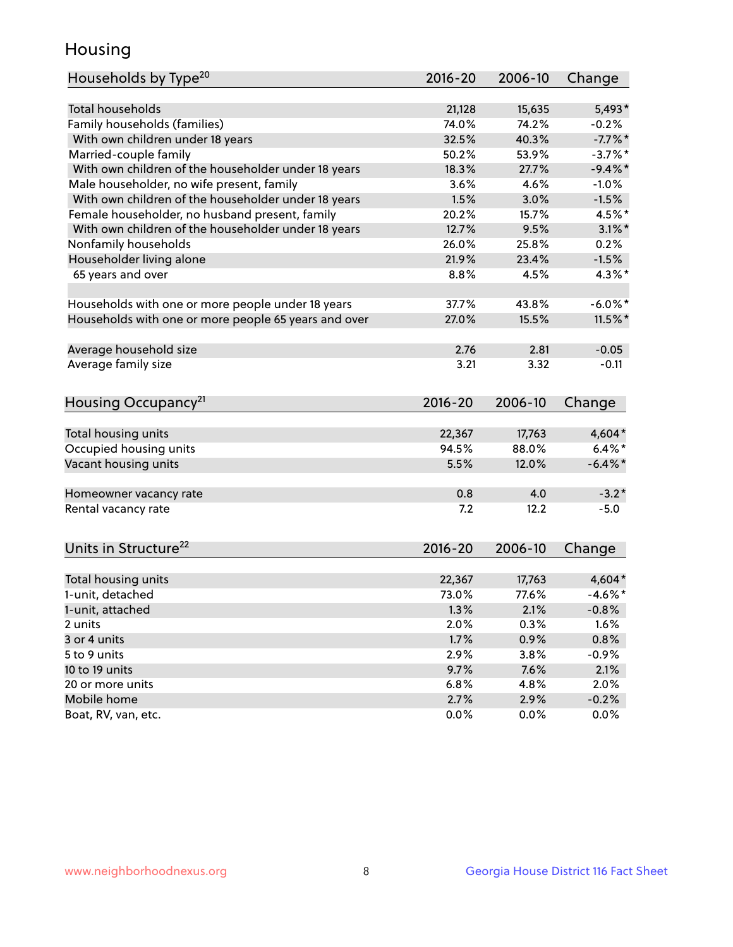## Housing

| Households by Type <sup>20</sup>                     | 2016-20     | 2006-10 | Change     |
|------------------------------------------------------|-------------|---------|------------|
|                                                      |             |         |            |
| <b>Total households</b>                              | 21,128      | 15,635  | 5,493*     |
| Family households (families)                         | 74.0%       | 74.2%   | $-0.2%$    |
| With own children under 18 years                     | 32.5%       | 40.3%   | $-7.7%$ *  |
| Married-couple family                                | 50.2%       | 53.9%   | $-3.7\%$ * |
| With own children of the householder under 18 years  | 18.3%       | 27.7%   | $-9.4\%$ * |
| Male householder, no wife present, family            | 3.6%        | 4.6%    | $-1.0%$    |
| With own children of the householder under 18 years  | 1.5%        | 3.0%    | $-1.5%$    |
| Female householder, no husband present, family       | 20.2%       | 15.7%   | 4.5%*      |
| With own children of the householder under 18 years  | 12.7%       | 9.5%    | $3.1\%$ *  |
| Nonfamily households                                 | 26.0%       | 25.8%   | 0.2%       |
| Householder living alone                             | 21.9%       | 23.4%   | $-1.5%$    |
| 65 years and over                                    | 8.8%        | 4.5%    | $4.3\%$ *  |
| Households with one or more people under 18 years    | 37.7%       | 43.8%   | $-6.0\%$ * |
| Households with one or more people 65 years and over | 27.0%       | 15.5%   | $11.5\%$ * |
| Average household size                               | 2.76        | 2.81    | $-0.05$    |
| Average family size                                  | 3.21        | 3.32    | $-0.11$    |
|                                                      |             |         |            |
| Housing Occupancy <sup>21</sup>                      | $2016 - 20$ | 2006-10 | Change     |
|                                                      |             |         |            |
| Total housing units                                  | 22,367      | 17,763  | 4,604*     |
| Occupied housing units                               | 94.5%       | 88.0%   | $6.4\%$ *  |
| Vacant housing units                                 | 5.5%        | 12.0%   | $-6.4\%$ * |
| Homeowner vacancy rate                               | 0.8         | 4.0     | $-3.2*$    |
| Rental vacancy rate                                  | 7.2         | 12.2    | $-5.0$     |
|                                                      |             |         |            |
| Units in Structure <sup>22</sup>                     | 2016-20     | 2006-10 | Change     |
| Total housing units                                  | 22,367      | 17,763  | $4,604*$   |
| 1-unit, detached                                     | 73.0%       | 77.6%   | $-4.6\%$ * |
| 1-unit, attached                                     | 1.3%        | 2.1%    | $-0.8%$    |
| 2 units                                              | 2.0%        | 0.3%    | 1.6%       |
| 3 or 4 units                                         | 1.7%        | 0.9%    | 0.8%       |
| 5 to 9 units                                         | 2.9%        | 3.8%    | $-0.9%$    |
| 10 to 19 units                                       | 9.7%        | 7.6%    | 2.1%       |
| 20 or more units                                     | 6.8%        | 4.8%    | 2.0%       |
| Mobile home                                          | 2.7%        | 2.9%    | $-0.2%$    |
| Boat, RV, van, etc.                                  | 0.0%        | 0.0%    | 0.0%       |
|                                                      |             |         |            |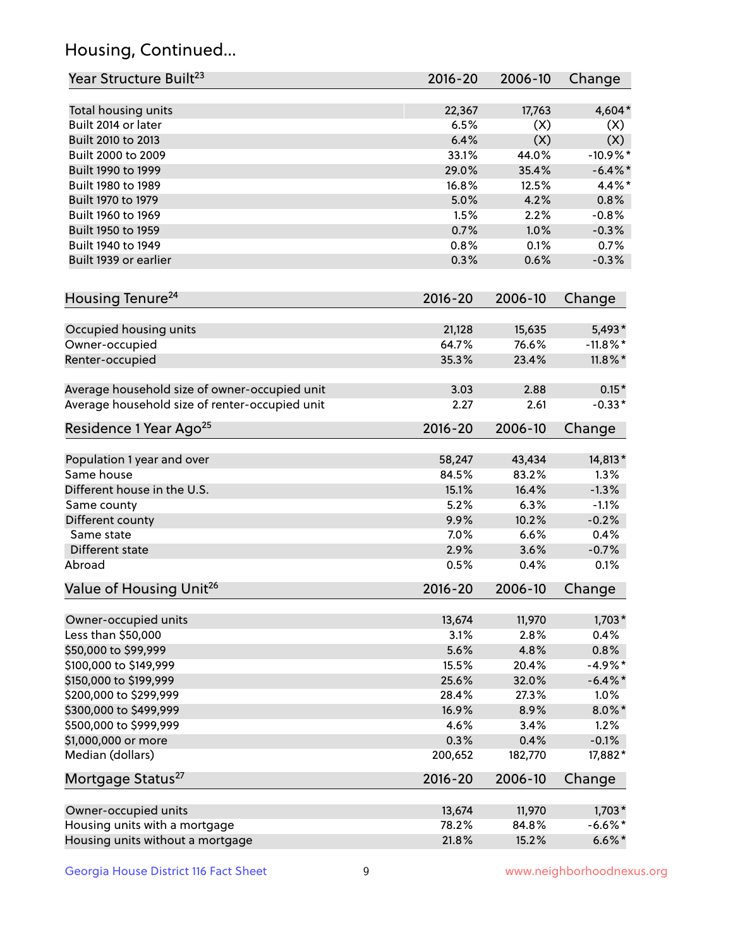## Housing, Continued...

| Year Structure Built <sup>23</sup>             | 2016-20     | 2006-10 | Change      |
|------------------------------------------------|-------------|---------|-------------|
| Total housing units                            | 22,367      | 17,763  | 4,604*      |
| Built 2014 or later                            | 6.5%        | (X)     | (X)         |
| Built 2010 to 2013                             | 6.4%        | (X)     | (X)         |
| Built 2000 to 2009                             | 33.1%       | 44.0%   | $-10.9\%$ * |
| Built 1990 to 1999                             | 29.0%       | 35.4%   | $-6.4\%$ *  |
| Built 1980 to 1989                             | 16.8%       | 12.5%   | $4.4\%$ *   |
| Built 1970 to 1979                             | 5.0%        | 4.2%    | 0.8%        |
| Built 1960 to 1969                             | 1.5%        | 2.2%    | $-0.8%$     |
| Built 1950 to 1959                             | 0.7%        | 1.0%    | $-0.3%$     |
| Built 1940 to 1949                             | 0.8%        | 0.1%    | 0.7%        |
| Built 1939 or earlier                          | 0.3%        | 0.6%    | $-0.3%$     |
| Housing Tenure <sup>24</sup>                   | $2016 - 20$ | 2006-10 | Change      |
|                                                |             |         |             |
| Occupied housing units                         | 21,128      | 15,635  | 5,493*      |
| Owner-occupied                                 | 64.7%       | 76.6%   | $-11.8\%$ * |
| Renter-occupied                                | 35.3%       | 23.4%   | $11.8\%$ *  |
| Average household size of owner-occupied unit  | 3.03        | 2.88    | $0.15*$     |
| Average household size of renter-occupied unit | 2.27        | 2.61    | $-0.33*$    |
| Residence 1 Year Ago <sup>25</sup>             | $2016 - 20$ | 2006-10 | Change      |
| Population 1 year and over                     | 58,247      | 43,434  | 14,813*     |
| Same house                                     | 84.5%       | 83.2%   | 1.3%        |
| Different house in the U.S.                    | 15.1%       | 16.4%   | $-1.3%$     |
| Same county                                    | 5.2%        | 6.3%    | $-1.1%$     |
| Different county                               | 9.9%        | 10.2%   | $-0.2%$     |
| Same state                                     | 7.0%        | 6.6%    | 0.4%        |
| Different state                                | 2.9%        | 3.6%    | $-0.7%$     |
| Abroad                                         | 0.5%        | 0.4%    | 0.1%        |
| Value of Housing Unit <sup>26</sup>            | $2016 - 20$ | 2006-10 | Change      |
|                                                |             |         |             |
| Owner-occupied units                           | 13,674      | 11,970  | $1,703*$    |
| Less than \$50,000                             | 3.1%        | 2.8%    | 0.4%        |
| \$50,000 to \$99,999                           | 5.6%        | 4.8%    | 0.8%        |
| \$100,000 to \$149,999                         | 15.5%       | 20.4%   | $-4.9%$ *   |
| \$150,000 to \$199,999                         | 25.6%       | 32.0%   | $-6.4\%$ *  |
| \$200,000 to \$299,999                         | 28.4%       | 27.3%   | 1.0%        |
| \$300,000 to \$499,999                         | 16.9%       | 8.9%    | $8.0\%$ *   |
| \$500,000 to \$999,999                         | 4.6%        | 3.4%    | 1.2%        |
| \$1,000,000 or more                            | 0.3%        | 0.4%    | $-0.1%$     |
| Median (dollars)                               | 200,652     | 182,770 | 17,882*     |
| Mortgage Status <sup>27</sup>                  | $2016 - 20$ | 2006-10 | Change      |
| Owner-occupied units                           | 13,674      | 11,970  | $1,703*$    |
| Housing units with a mortgage                  | 78.2%       | 84.8%   | $-6.6\%$ *  |
| Housing units without a mortgage               | 21.8%       | 15.2%   | $6.6\%*$    |
|                                                |             |         |             |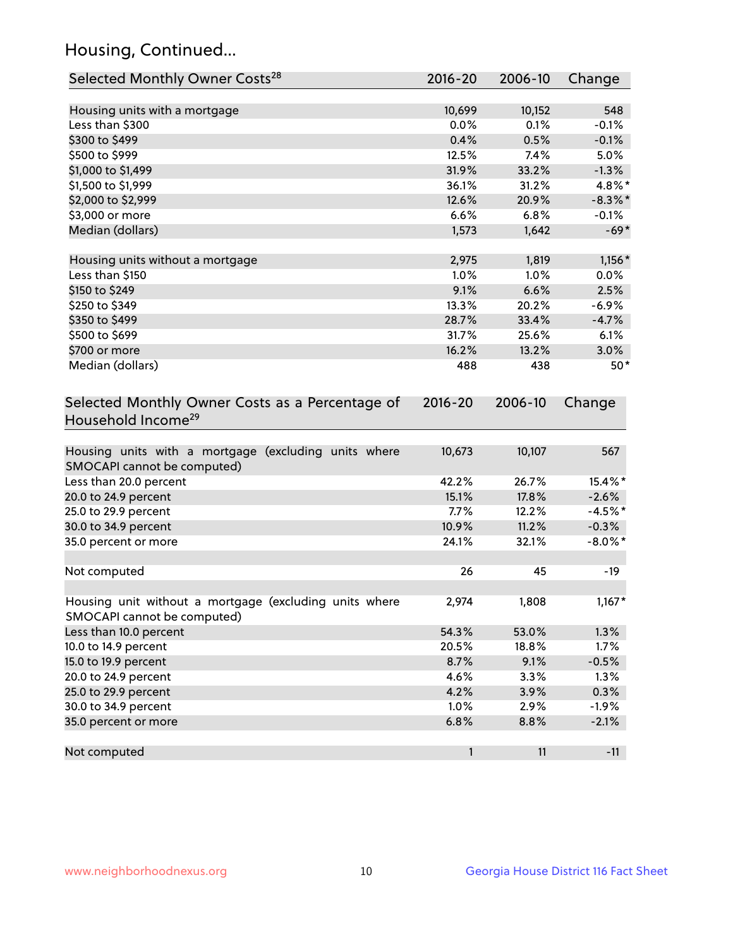## Housing, Continued...

| Selected Monthly Owner Costs <sup>28</sup>                                            | 2016-20     | 2006-10 | Change     |
|---------------------------------------------------------------------------------------|-------------|---------|------------|
| Housing units with a mortgage                                                         | 10,699      | 10,152  | 548        |
| Less than \$300                                                                       | 0.0%        | 0.1%    | $-0.1%$    |
| \$300 to \$499                                                                        | 0.4%        | 0.5%    | $-0.1%$    |
| \$500 to \$999                                                                        | 12.5%       | 7.4%    | 5.0%       |
| \$1,000 to \$1,499                                                                    | 31.9%       | 33.2%   | $-1.3%$    |
| \$1,500 to \$1,999                                                                    | 36.1%       | 31.2%   | 4.8%*      |
| \$2,000 to \$2,999                                                                    | 12.6%       | 20.9%   | $-8.3\%$ * |
| \$3,000 or more                                                                       | 6.6%        | 6.8%    | $-0.1%$    |
| Median (dollars)                                                                      | 1,573       | 1,642   | $-69*$     |
|                                                                                       |             |         |            |
| Housing units without a mortgage                                                      | 2,975       | 1,819   | $1,156*$   |
| Less than \$150                                                                       | 1.0%        | 1.0%    | 0.0%       |
| \$150 to \$249                                                                        | 9.1%        | 6.6%    | 2.5%       |
| \$250 to \$349                                                                        | 13.3%       | 20.2%   | $-6.9%$    |
| \$350 to \$499                                                                        | 28.7%       | 33.4%   | $-4.7%$    |
| \$500 to \$699                                                                        | 31.7%       | 25.6%   | 6.1%       |
| \$700 or more                                                                         | 16.2%       | 13.2%   | 3.0%       |
| Median (dollars)                                                                      | 488         | 438     | $50*$      |
| Selected Monthly Owner Costs as a Percentage of<br>Household Income <sup>29</sup>     | $2016 - 20$ | 2006-10 | Change     |
| Housing units with a mortgage (excluding units where<br>SMOCAPI cannot be computed)   | 10,673      | 10,107  | 567        |
| Less than 20.0 percent                                                                | 42.2%       | 26.7%   | 15.4%*     |
| 20.0 to 24.9 percent                                                                  | 15.1%       | 17.8%   | $-2.6%$    |
| 25.0 to 29.9 percent                                                                  | 7.7%        | 12.2%   | $-4.5%$ *  |
| 30.0 to 34.9 percent                                                                  | 10.9%       | 11.2%   | $-0.3%$    |
| 35.0 percent or more                                                                  | 24.1%       | 32.1%   | $-8.0\%$ * |
| Not computed                                                                          | 26          | 45      | $-19$      |
| Housing unit without a mortgage (excluding units where<br>SMOCAPI cannot be computed) | 2,974       | 1,808   | $1,167*$   |
| Less than 10.0 percent                                                                | 54.3%       | 53.0%   | 1.3%       |
| 10.0 to 14.9 percent                                                                  | 20.5%       | 18.8%   | 1.7%       |
| 15.0 to 19.9 percent                                                                  | 8.7%        | 9.1%    | $-0.5%$    |
| 20.0 to 24.9 percent                                                                  | 4.6%        | 3.3%    | 1.3%       |
| 25.0 to 29.9 percent                                                                  | 4.2%        | 3.9%    | 0.3%       |
| 30.0 to 34.9 percent                                                                  | 1.0%        | 2.9%    | $-1.9%$    |
| 35.0 percent or more                                                                  | 6.8%        | 8.8%    | $-2.1%$    |
| Not computed                                                                          | 1           | 11      | $-11$      |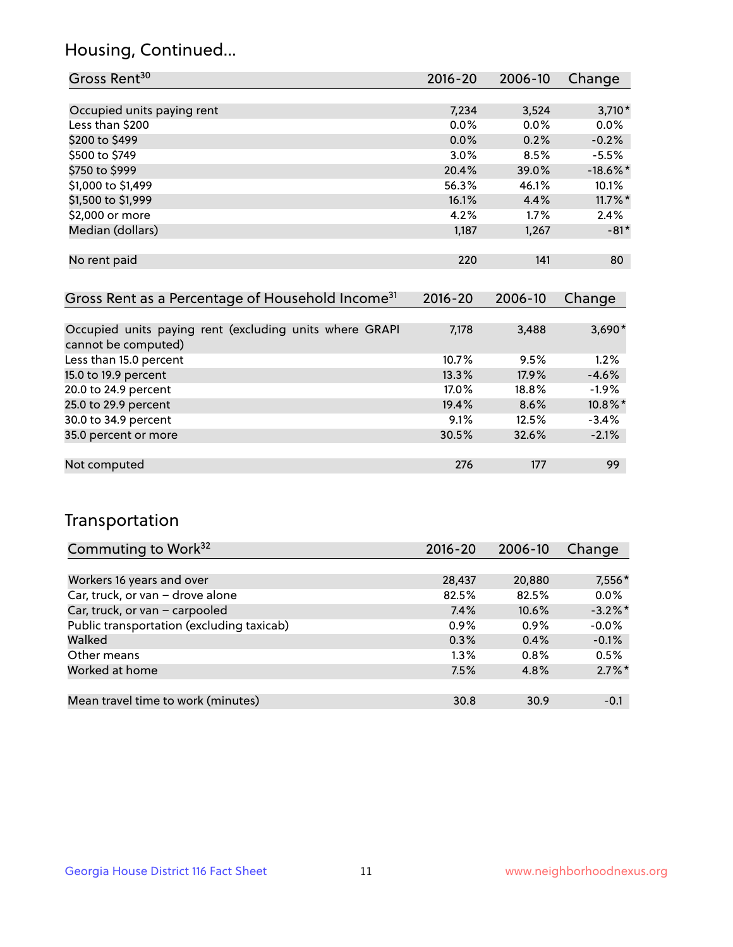## Housing, Continued...

| Gross Rent <sup>30</sup>                                     | 2016-20     | 2006-10     | Change      |
|--------------------------------------------------------------|-------------|-------------|-------------|
|                                                              |             |             |             |
| Occupied units paying rent                                   | 7,234       | 3,524       | $3,710*$    |
| Less than \$200                                              | $0.0\%$     | $0.0\%$     | $0.0\%$     |
| \$200 to \$499                                               | $0.0\%$     | 0.2%        | $-0.2%$     |
| \$500 to \$749                                               | $3.0\%$     | 8.5%        | $-5.5%$     |
| \$750 to \$999                                               | 20.4%       | 39.0%       | $-18.6\%$ * |
| \$1,000 to \$1,499                                           | 56.3%       | 46.1%       | 10.1%       |
| \$1,500 to \$1,999                                           | 16.1%       | 4.4%        | $11.7\%$ *  |
| \$2,000 or more                                              | 4.2%        | 1.7%        | 2.4%        |
| Median (dollars)                                             | 1,187       | 1,267       | $-81*$      |
|                                                              |             |             |             |
| No rent paid                                                 | 220         | 141         | 80          |
|                                                              |             |             |             |
| Gross Rent as a Percentage of Household Income <sup>31</sup> | $2016 - 20$ | $2006 - 10$ | Change      |

| <u>Cross iteme as a referenciace or ribasemera income</u> | $\sim$ $\sim$ $\sim$ | <b>LVVV</b> 19 | 111190   |
|-----------------------------------------------------------|----------------------|----------------|----------|
|                                                           |                      |                |          |
| Occupied units paying rent (excluding units where GRAPI   | 7,178                | 3,488          | $3,690*$ |
| cannot be computed)                                       |                      |                |          |
| Less than 15.0 percent                                    | 10.7%                | 9.5%           | 1.2%     |
| 15.0 to 19.9 percent                                      | 13.3%                | 17.9%          | $-4.6%$  |
| 20.0 to 24.9 percent                                      | 17.0%                | 18.8%          | $-1.9%$  |
| 25.0 to 29.9 percent                                      | 19.4%                | 8.6%           | 10.8%*   |
| 30.0 to 34.9 percent                                      | $9.1\%$              | 12.5%          | $-3.4%$  |
| 35.0 percent or more                                      | 30.5%                | 32.6%          | $-2.1%$  |
|                                                           |                      |                |          |
| Not computed                                              | 276                  | 177            | 99       |
|                                                           |                      |                |          |

### Transportation

| Commuting to Work <sup>32</sup>           | 2016-20 | 2006-10 | Change     |
|-------------------------------------------|---------|---------|------------|
|                                           |         |         |            |
| Workers 16 years and over                 | 28,437  | 20,880  | 7,556*     |
| Car, truck, or van - drove alone          | 82.5%   | 82.5%   | 0.0%       |
| Car, truck, or van - carpooled            | 7.4%    | 10.6%   | $-3.2\%$ * |
| Public transportation (excluding taxicab) | $0.9\%$ | $0.9\%$ | $-0.0%$    |
| Walked                                    | 0.3%    | 0.4%    | $-0.1%$    |
| Other means                               | $1.3\%$ | $0.8\%$ | 0.5%       |
| Worked at home                            | 7.5%    | 4.8%    | $2.7\%$ *  |
|                                           |         |         |            |
| Mean travel time to work (minutes)        | 30.8    | 30.9    | $-0.1$     |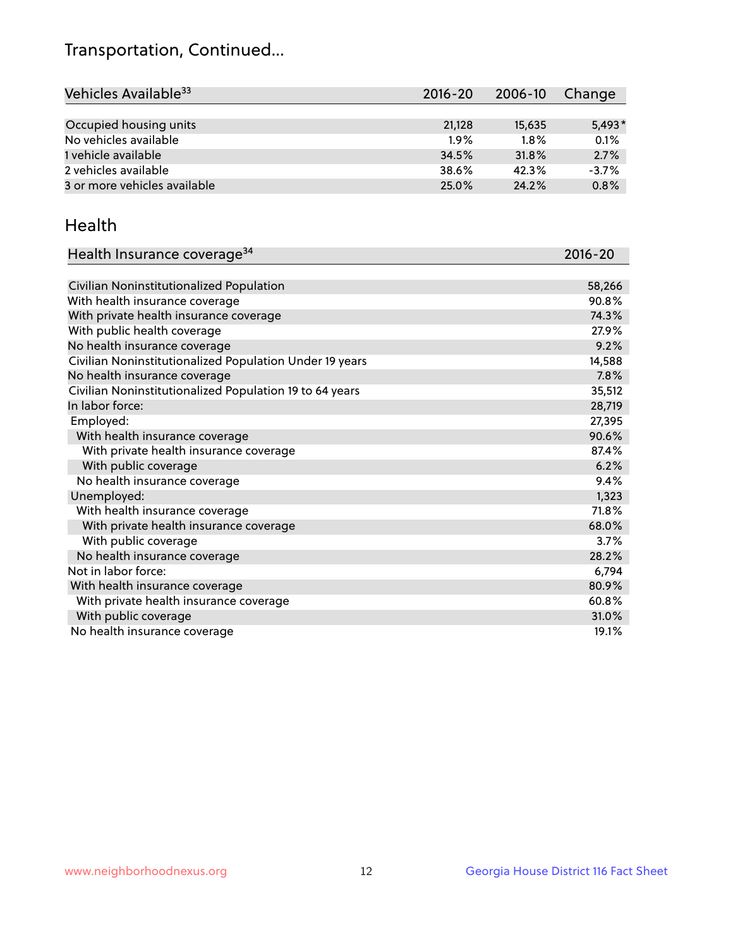## Transportation, Continued...

| Vehicles Available <sup>33</sup> | $2016 - 20$ | 2006-10 | Change   |
|----------------------------------|-------------|---------|----------|
|                                  |             |         |          |
| Occupied housing units           | 21,128      | 15,635  | $5.493*$ |
| No vehicles available            | 1.9%        | $1.8\%$ | 0.1%     |
| 1 vehicle available              | 34.5%       | 31.8%   | 2.7%     |
| 2 vehicles available             | 38.6%       | 42.3%   | $-3.7%$  |
| 3 or more vehicles available     | 25.0%       | 24.2%   | 0.8%     |

#### Health

| Health Insurance coverage <sup>34</sup>                 | 2016-20 |
|---------------------------------------------------------|---------|
|                                                         |         |
| Civilian Noninstitutionalized Population                | 58,266  |
| With health insurance coverage                          | 90.8%   |
| With private health insurance coverage                  | 74.3%   |
| With public health coverage                             | 27.9%   |
| No health insurance coverage                            | 9.2%    |
| Civilian Noninstitutionalized Population Under 19 years | 14,588  |
| No health insurance coverage                            | 7.8%    |
| Civilian Noninstitutionalized Population 19 to 64 years | 35,512  |
| In labor force:                                         | 28,719  |
| Employed:                                               | 27,395  |
| With health insurance coverage                          | 90.6%   |
| With private health insurance coverage                  | 87.4%   |
| With public coverage                                    | 6.2%    |
| No health insurance coverage                            | 9.4%    |
| Unemployed:                                             | 1,323   |
| With health insurance coverage                          | 71.8%   |
| With private health insurance coverage                  | 68.0%   |
| With public coverage                                    | 3.7%    |
| No health insurance coverage                            | 28.2%   |
| Not in labor force:                                     | 6,794   |
| With health insurance coverage                          | 80.9%   |
| With private health insurance coverage                  | 60.8%   |
| With public coverage                                    | 31.0%   |
| No health insurance coverage                            | 19.1%   |